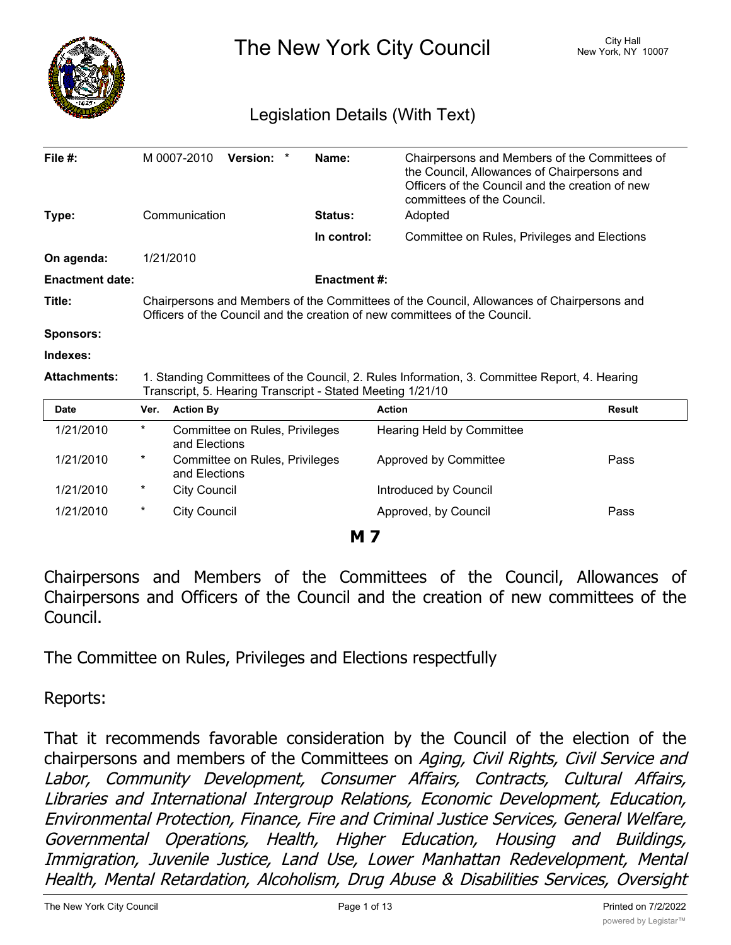

The New York City Council New York, NY 10007

# Legislation Details (With Text)

| File #:                |                                                                                                                                                            | M 0007-2010                                                                                                                                                             | Version: *                     |         | Name:                 | Chairpersons and Members of the Committees of<br>the Council, Allowances of Chairpersons and<br>Officers of the Council and the creation of new<br>committees of the Council. |               |  |
|------------------------|------------------------------------------------------------------------------------------------------------------------------------------------------------|-------------------------------------------------------------------------------------------------------------------------------------------------------------------------|--------------------------------|---------|-----------------------|-------------------------------------------------------------------------------------------------------------------------------------------------------------------------------|---------------|--|
| Type:                  | Communication                                                                                                                                              |                                                                                                                                                                         | Status:                        | Adopted |                       |                                                                                                                                                                               |               |  |
|                        |                                                                                                                                                            |                                                                                                                                                                         |                                |         | In control:           | Committee on Rules, Privileges and Elections                                                                                                                                  |               |  |
| On agenda:             |                                                                                                                                                            | 1/21/2010                                                                                                                                                               |                                |         |                       |                                                                                                                                                                               |               |  |
| <b>Enactment date:</b> |                                                                                                                                                            |                                                                                                                                                                         |                                |         | <b>Enactment #:</b>   |                                                                                                                                                                               |               |  |
| Title:                 |                                                                                                                                                            | Chairpersons and Members of the Committees of the Council, Allowances of Chairpersons and<br>Officers of the Council and the creation of new committees of the Council. |                                |         |                       |                                                                                                                                                                               |               |  |
| <b>Sponsors:</b>       |                                                                                                                                                            |                                                                                                                                                                         |                                |         |                       |                                                                                                                                                                               |               |  |
| Indexes:               |                                                                                                                                                            |                                                                                                                                                                         |                                |         |                       |                                                                                                                                                                               |               |  |
| <b>Attachments:</b>    | 1. Standing Committees of the Council, 2. Rules Information, 3. Committee Report, 4. Hearing<br>Transcript, 5. Hearing Transcript - Stated Meeting 1/21/10 |                                                                                                                                                                         |                                |         |                       |                                                                                                                                                                               |               |  |
| <b>Date</b>            | Ver.                                                                                                                                                       | <b>Action By</b>                                                                                                                                                        |                                |         |                       | <b>Action</b>                                                                                                                                                                 | <b>Result</b> |  |
| 1/21/2010              | $^{\star}$                                                                                                                                                 | Committee on Rules, Privileges<br>and Elections                                                                                                                         |                                |         |                       | Hearing Held by Committee                                                                                                                                                     |               |  |
| 1/21/2010              | *                                                                                                                                                          | and Elections                                                                                                                                                           | Committee on Rules, Privileges |         |                       | Approved by Committee                                                                                                                                                         | Pass          |  |
| 1/21/2010              | *                                                                                                                                                          | <b>City Council</b>                                                                                                                                                     |                                |         | Introduced by Council |                                                                                                                                                                               |               |  |
| 1/21/2010              | *                                                                                                                                                          | <b>City Council</b>                                                                                                                                                     |                                |         |                       | Approved, by Council                                                                                                                                                          | Pass          |  |
| M 7                    |                                                                                                                                                            |                                                                                                                                                                         |                                |         |                       |                                                                                                                                                                               |               |  |

Chairpersons and Members of the Committees of the Council, Allowances of Chairpersons and Officers of the Council and the creation of new committees of the Council.

The Committee on Rules, Privileges and Elections respectfully

Reports:

That it recommends favorable consideration by the Council of the election of the chairpersons and members of the Committees on *Aging, Civil Rights, Civil Service and Labor, Community Development, Consumer Affairs, Contracts, Cultural Affairs, Libraries and International Intergroup Relations, Economic Development, Education, Environmental Protection, Finance, Fire and Criminal Justice Services, General Welfare, Governmental Operations, Health, Higher Education, Housing and Buildings, Immigration, Juvenile Justice, Land Use, Lower Manhattan Redevelopment, Mental Health, Mental Retardation, Alcoholism, Drug Abuse & Disabilities Services, Oversight*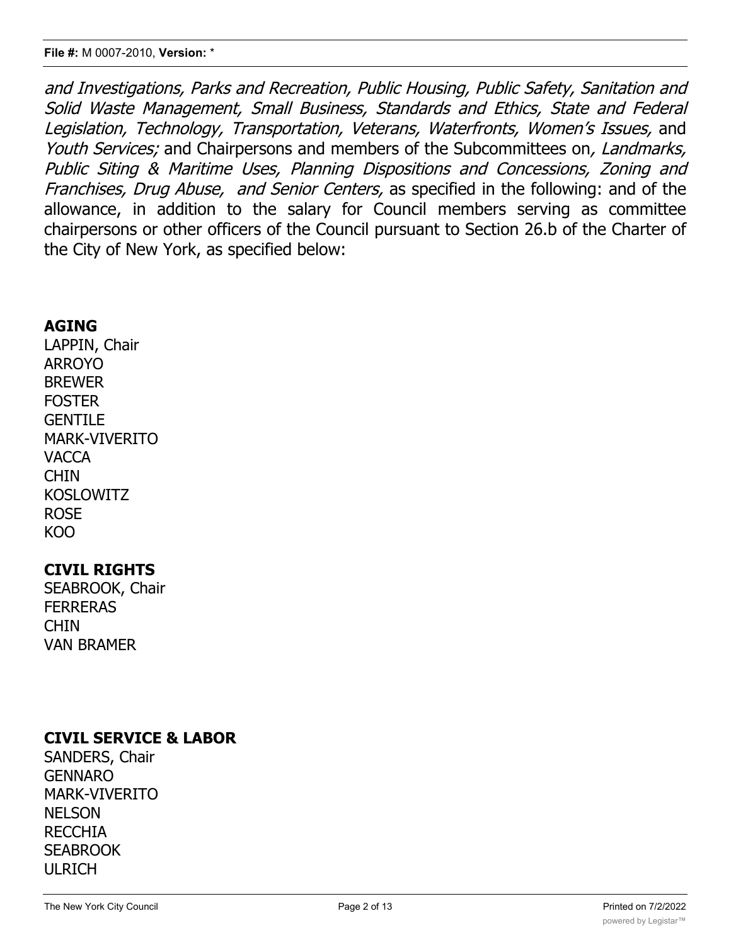*and Investigations, Parks and Recreation, Public Housing, Public Safety, Sanitation and Solid Waste Management, Small Business, Standards and Ethics, State and Federal Legislation, Technology, Transportation, Veterans, Waterfronts, Women's Issues,* and *Youth Services;* and Chairpersons and members of the Subcommittees on*, Landmarks, Public Siting & Maritime Uses, Planning Dispositions and Concessions, Zoning and Franchises, Drug Abuse, and Senior Centers,* as specified in the following: and of the allowance, in addition to the salary for Council members serving as committee chairpersons or other officers of the Council pursuant to Section 26.b of the Charter of the City of New York, as specified below:

### **AGING**

LAPPIN, Chair ARROYO BREWER **FOSTER** GENTILE MARK-VIVERITO VACCA **CHIN** KOSLOWITZ ROSE KOO

# **CIVIL RIGHTS**

SEABROOK, Chair **FERRERAS CHIN** VAN BRAMER

# **CIVIL SERVICE & LABOR**

SANDERS, Chair GENNARO MARK-VIVERITO **NELSON** RECCHIA **SEABROOK** ULRICH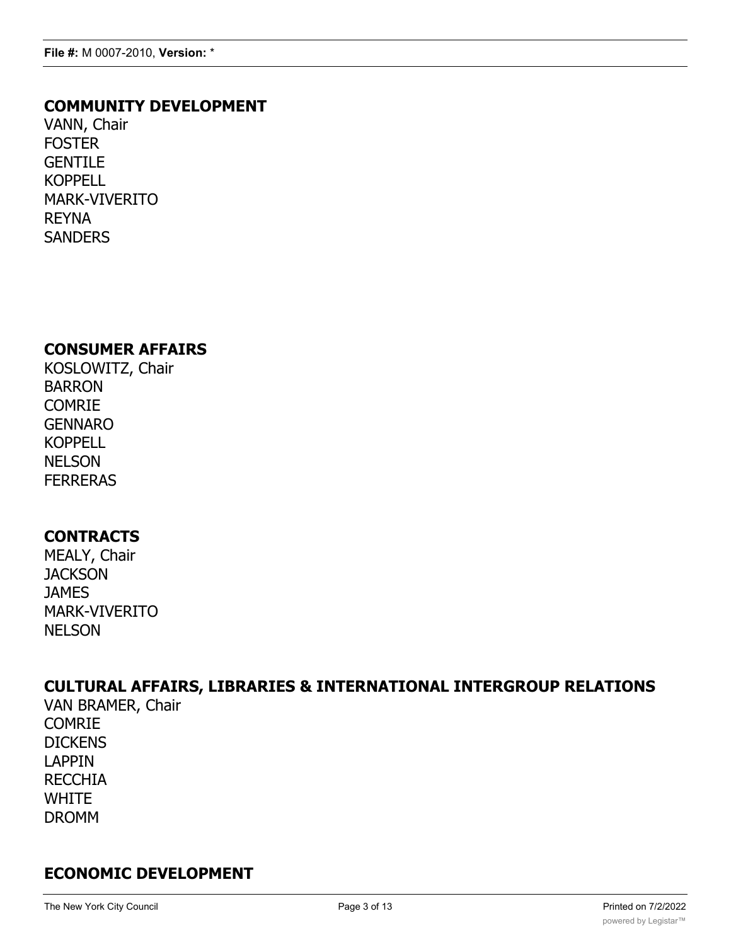### **COMMUNITY DEVELOPMENT**

VANN, Chair **FOSTER GENTILE KOPPELL** MARK-VIVERITO REYNA **SANDERS** 

### **CONSUMER AFFAIRS**

KOSLOWITZ, Chair BARRON COMRIE GENNARO KOPPELL **NELSON** FERRERAS

### **CONTRACTS**

MEALY, Chair **JACKSON JAMES** MARK-VIVERITO NELSON

# **CULTURAL AFFAIRS, LIBRARIES & INTERNATIONAL INTERGROUP RELATIONS**

VAN BRAMER, Chair COMRIE **DICKENS** LAPPIN RECCHIA **WHITE** DROMM

# **ECONOMIC DEVELOPMENT**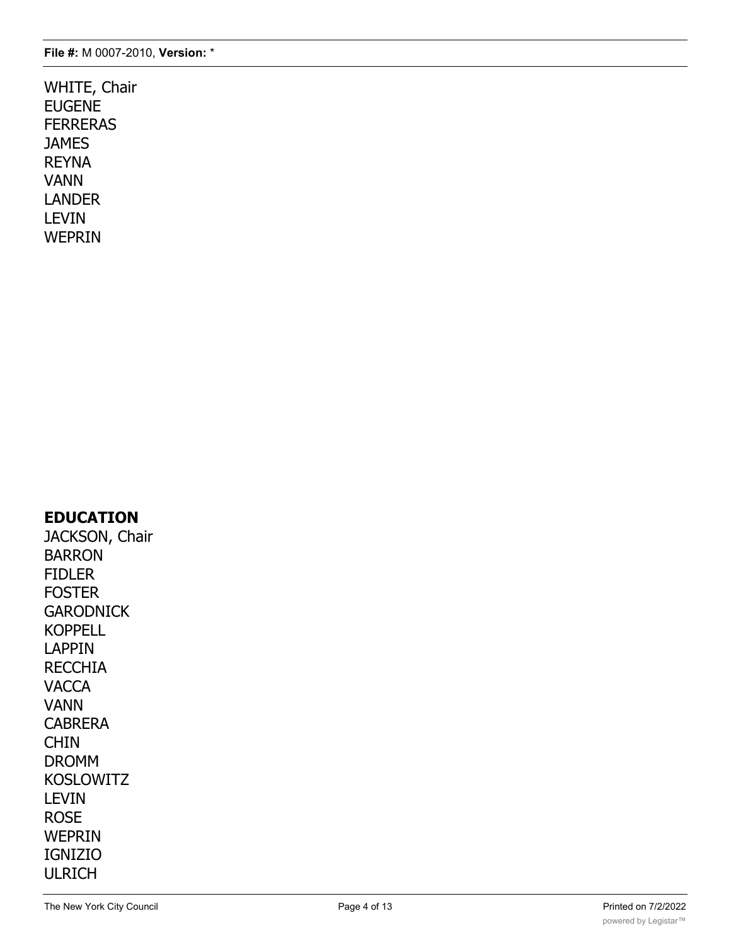WHITE, Chair EUGENE FERRERAS **JAMES** REYNA VANN LANDER LEVIN WEPRIN

### **EDUCATION**

JACKSON, Chair BARRON FIDLER FOSTER **GARODNICK** KOPPELL LAPPIN RECCHIA **VACCA** VANN CABRERA CHIN DROMM KOSLOWITZ LEVIN ROSE WEPRIN IGNIZIO ULRICH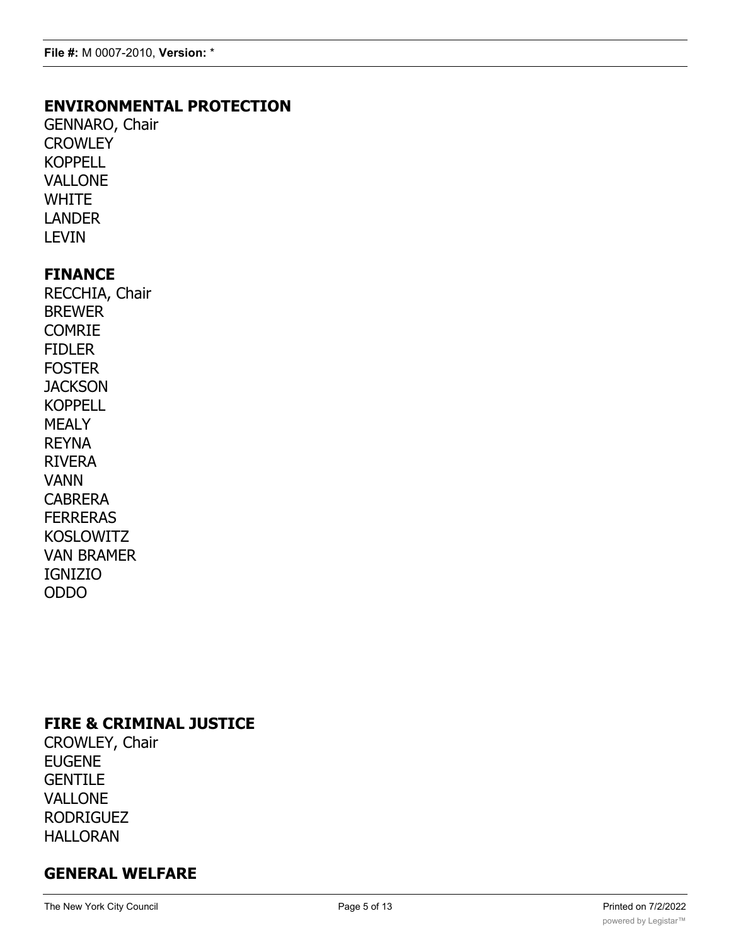# **ENVIRONMENTAL PROTECTION**

GENNARO, Chair **CROWLEY** KOPPELL VALLONE **WHITE** LANDER LEVIN

### **FINANCE**

RECCHIA, Chair BREWER COMRIE FIDLER FOSTER **JACKSON** KOPPELL MEALY REYNA RIVERA VANN CABRERA **FERRERAS** KOSLOWITZ VAN BRAMER IGNIZIO ODDO

# **FIRE & CRIMINAL JUSTICE**

CROWLEY, Chair EUGENE **GENTILE** VALLONE RODRIGUEZ HALLORAN

# **GENERAL WELFARE**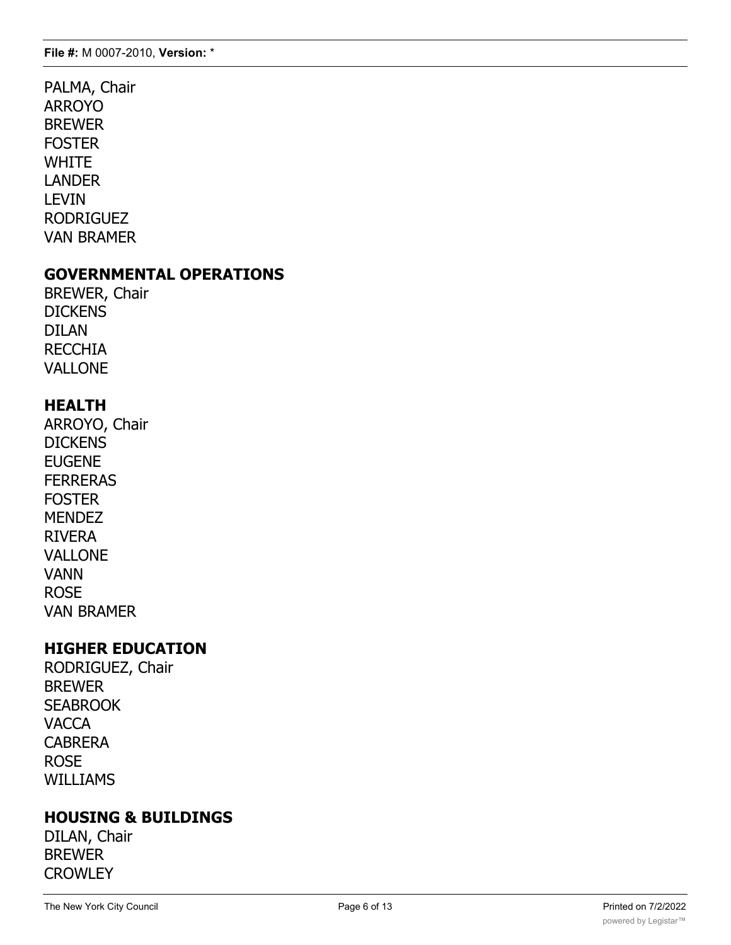PALMA, Chair ARROYO BREWER **FOSTER WHITE** LANDER LEVIN RODRIGUEZ VAN BRAMER

### **GOVERNMENTAL OPERATIONS**

BREWER, Chair **DICKENS** DILAN RECCHIA VALLONE

# **HEALTH**

ARROYO, Chair **DICKENS** EUGENE **FERRERAS FOSTER MENDEZ** RIVERA VALLONE VANN ROSE VAN BRAMER

# **HIGHER EDUCATION**

RODRIGUEZ, Chair BREWER **SEABROOK VACCA** CABRERA ROSE WILLIAMS

# **HOUSING & BUILDINGS**

DILAN, Chair BREWER **CROWLEY**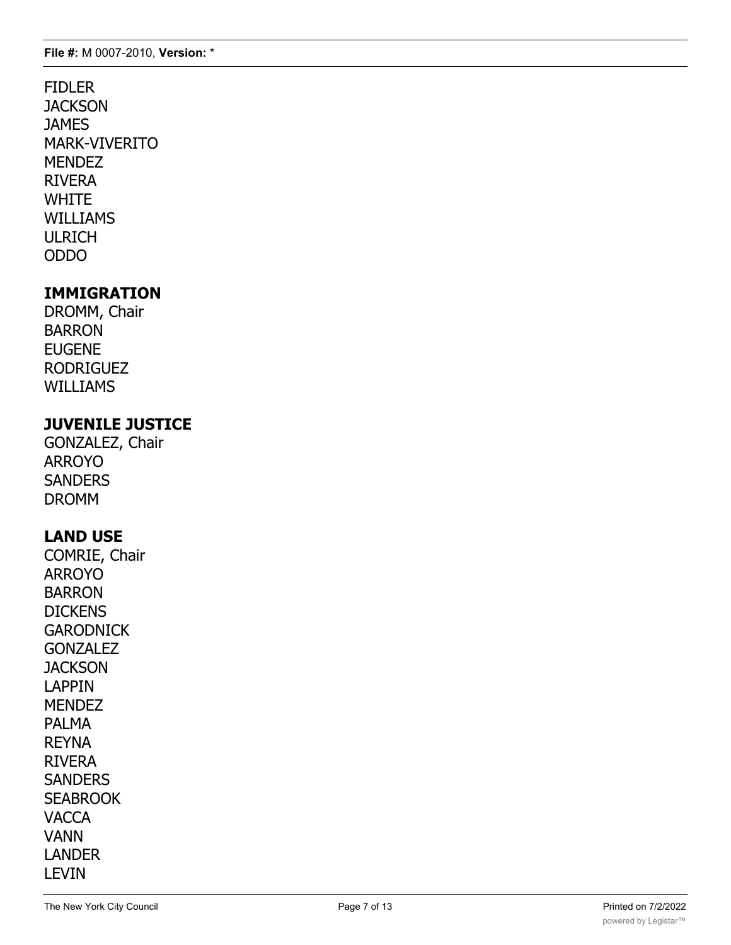FIDLER **JACKSON** JAMES MARK-VIVERITO **MENDEZ** RIVERA **WHITE** WILLIAMS ULRICH ODDO

# **IMMIGRATION**

DROMM, Chair BARRON EUGENE RODRIGUEZ WILLIAMS

### **JUVENILE JUSTICE**

GONZALEZ, Chair ARROYO **SANDERS** DROMM

# **LAND USE**

COMRIE, Chair ARROYO BARRON **DICKENS GARODNICK GONZALEZ JACKSON** LAPPIN **MENDEZ** PALMA REYNA RIVERA **SANDERS SEABROOK VACCA** VANN LANDER LEVIN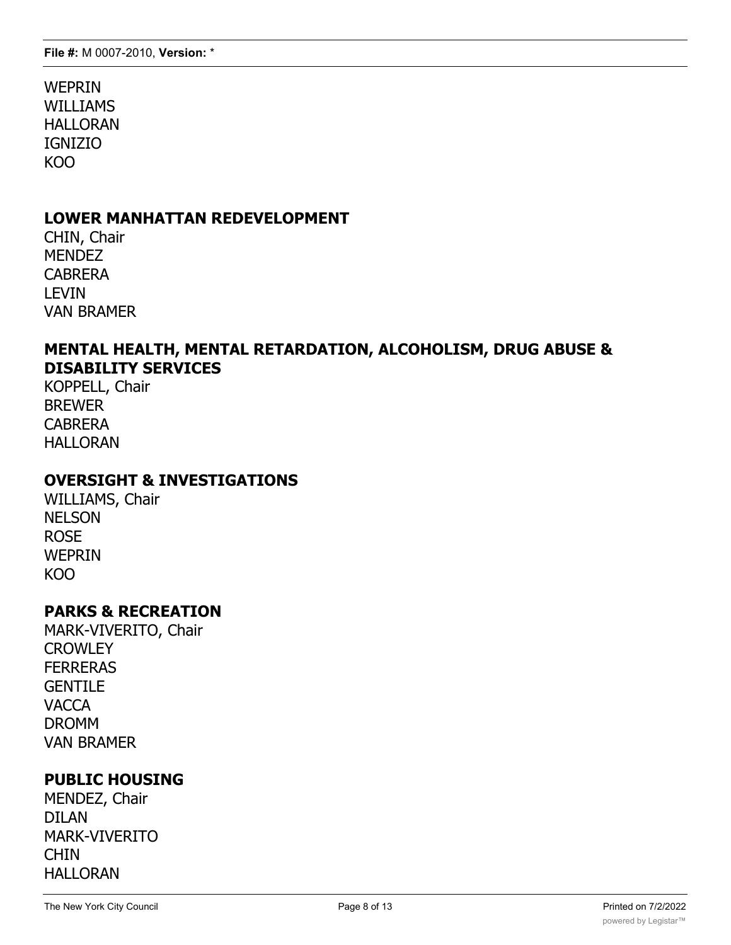WEPRIN WILLIAMS HALLORAN IGNIZIO KOO

### **LOWER MANHATTAN REDEVELOPMENT**

CHIN, Chair **MENDEZ** CABRERA LEVIN VAN BRAMER

#### **MENTAL HEALTH, MENTAL RETARDATION, ALCOHOLISM, DRUG ABUSE & DISABILITY SERVICES**

KOPPELL, Chair BREWER CABRERA HALLORAN

### **OVERSIGHT & INVESTIGATIONS**

WILLIAMS, Chair **NELSON** ROSE WEPRIN KOO

#### **PARKS & RECREATION**

MARK-VIVERITO, Chair **CROWLEY FFRRFRAS GENTILE VACCA** DROMM VAN BRAMER

### **PUBLIC HOUSING**

MENDEZ, Chair DILAN MARK-VIVERITO CHIN HALLORAN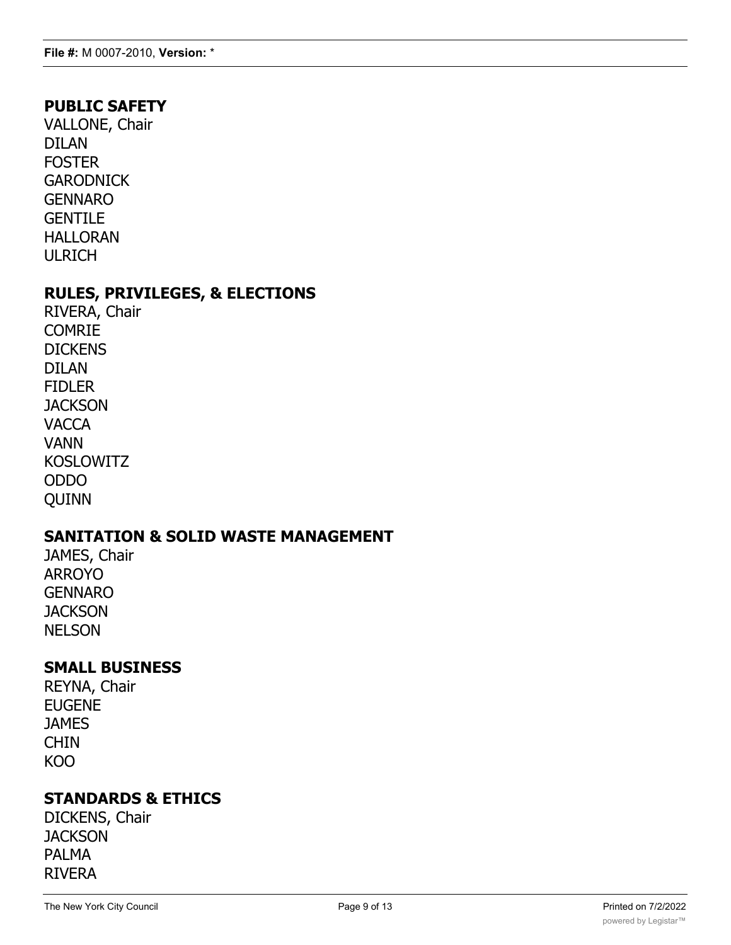### **PUBLIC SAFETY**

VALLONE, Chair DILAN FOSTER **GARODNICK** GENNARO **GENTILE** HALLORAN ULRICH

#### **RULES, PRIVILEGES, & ELECTIONS**

RIVERA, Chair COMRIE **DICKENS** DILAN FIDLER **JACKSON VACCA** VANN KOSLOWITZ ODDO QUINN

### **SANITATION & SOLID WASTE MANAGEMENT**

JAMES, Chair ARROYO GENNARO **JACKSON** NELSON

### **SMALL BUSINESS**

REYNA, Chair EUGENE **JAMES** CHIN KOO

### **STANDARDS & ETHICS**

DICKENS, Chair **JACKSON** PALMA RIVERA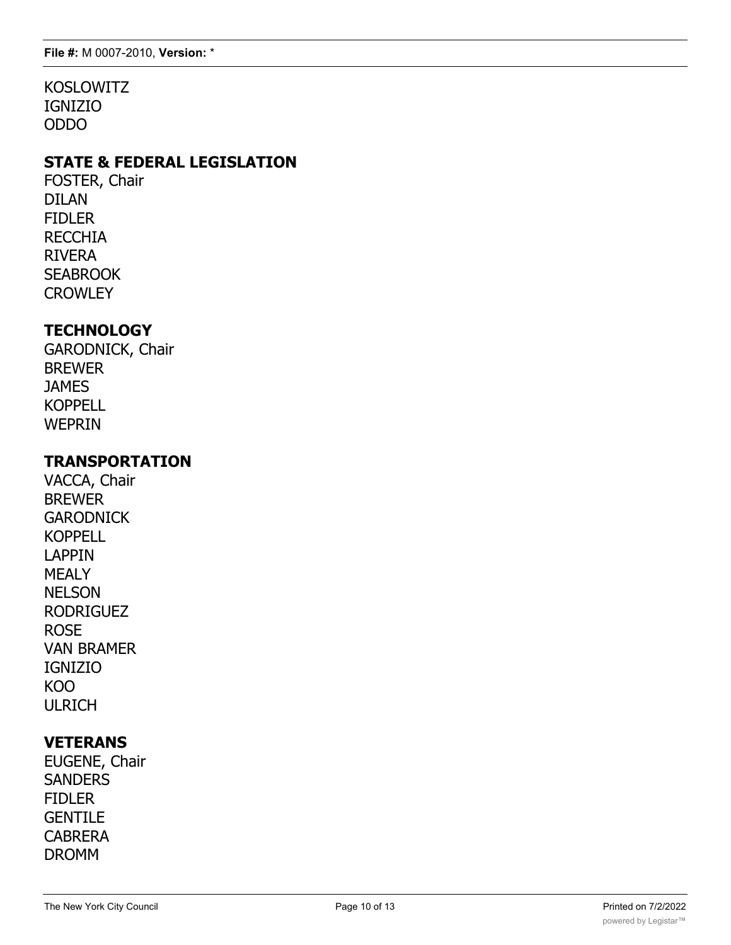KOSLOWITZ IGNIZIO ODDO

# **STATE & FEDERAL LEGISLATION**

FOSTER, Chair DILAN FIDLER RECCHIA RIVERA **SEABROOK CROWLEY** 

### **TECHNOLOGY**

GARODNICK, Chair BREWER **JAMES KOPPELL** WEPRIN

### **TRANSPORTATION**

VACCA, Chair BREWER **GARODNICK** KOPPELL LAPPIN MEALY NELSON RODRIGUEZ ROSE VAN BRAMER IGNIZIO KOO ULRICH

# **VETERANS**

EUGENE, Chair **SANDERS** FIDLER **GENTILE** CABRERA DROMM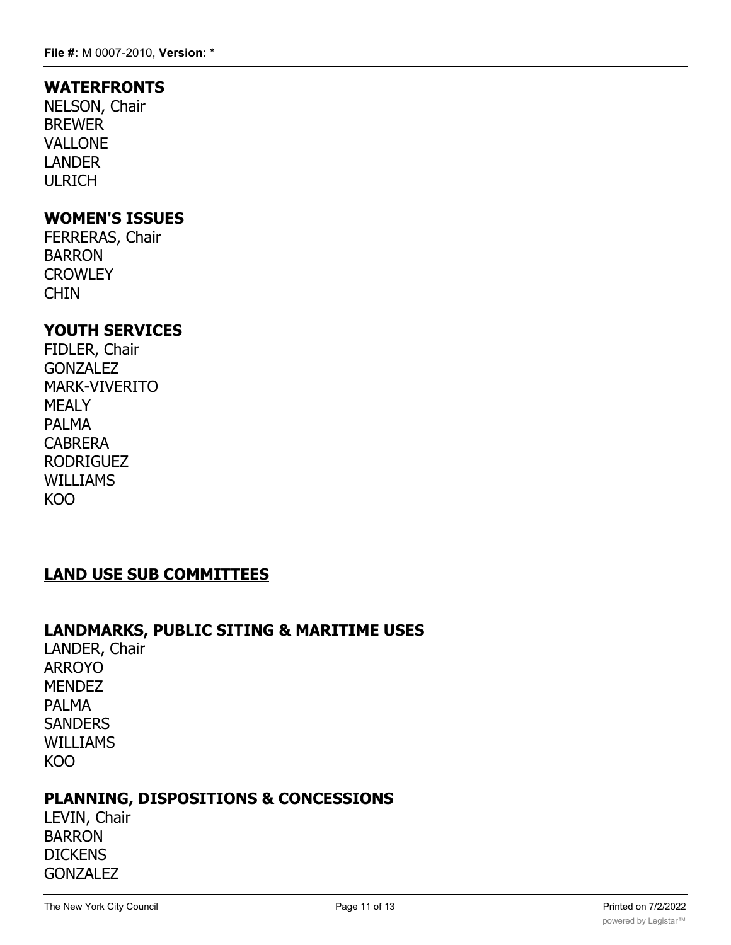### **WATERFRONTS**

NELSON, Chair BREWER VALLONE LANDER ULRICH

### **WOMEN'S ISSUES**

FERRERAS, Chair BARRON **CROWLEY** CHIN

# **YOUTH SERVICES**

FIDLER, Chair **GONZALEZ** MARK-VIVERITO MEALY PALMA **CABRERA** RODRIGUEZ WILLIAMS KOO

# **LAND USE SUB COMMITTEES**

#### **LANDMARKS, PUBLIC SITING & MARITIME USES**

LANDER, Chair ARROYO **MENDEZ** PALMA **SANDERS** WILLIAMS KOO

### **PLANNING, DISPOSITIONS & CONCESSIONS**

LEVIN, Chair BARRON DICKENS **GONZALEZ**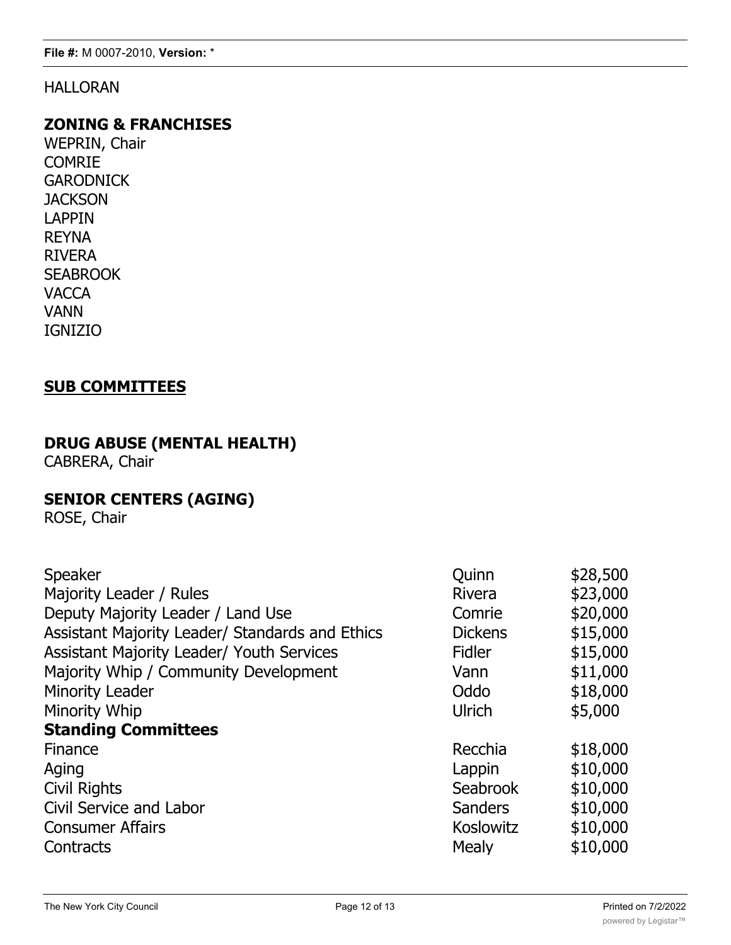### HALLORAN

### **ZONING & FRANCHISES**

WEPRIN, Chair COMRIE **GARODNICK JACKSON** LAPPIN REYNA RIVERA **SEABROOK VACCA** VANN IGNIZIO

### **SUB COMMITTEES**

# **DRUG ABUSE (MENTAL HEALTH)**

CABRERA, Chair

# **SENIOR CENTERS (AGING)**

ROSE, Chair

| Speaker                                          | Quinn           | \$28,500 |
|--------------------------------------------------|-----------------|----------|
| Majority Leader / Rules                          | <b>Rivera</b>   | \$23,000 |
| Deputy Majority Leader / Land Use                | Comrie          | \$20,000 |
| Assistant Majority Leader/ Standards and Ethics  | <b>Dickens</b>  | \$15,000 |
| <b>Assistant Majority Leader/ Youth Services</b> | <b>Fidler</b>   | \$15,000 |
| Majority Whip / Community Development            | Vann            | \$11,000 |
| <b>Minority Leader</b>                           | Oddo            | \$18,000 |
| Minority Whip                                    | Ulrich          | \$5,000  |
| <b>Standing Committees</b>                       |                 |          |
| Finance                                          | Recchia         | \$18,000 |
| Aging                                            | Lappin          | \$10,000 |
| <b>Civil Rights</b>                              | <b>Seabrook</b> | \$10,000 |
| Civil Service and Labor                          | <b>Sanders</b>  | \$10,000 |
| <b>Consumer Affairs</b>                          | Koslowitz       | \$10,000 |
| Contracts                                        | <b>Mealy</b>    | \$10,000 |